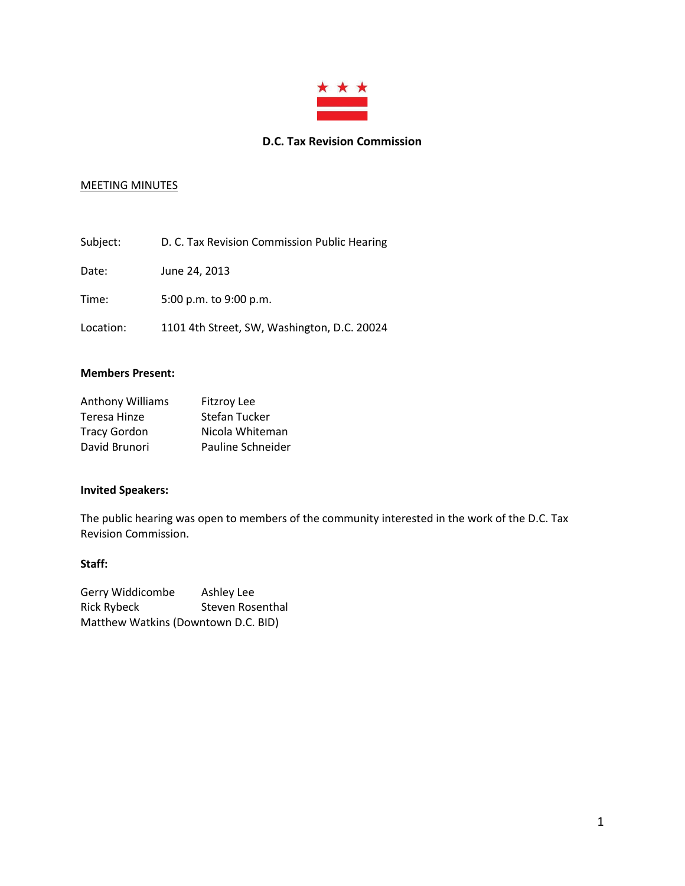

#### **D.C. Tax Revision Commission**

## MEETING MINUTES

| Subject:  | D. C. Tax Revision Commission Public Hearing |
|-----------|----------------------------------------------|
| Date:     | June 24, 2013                                |
| Time:     | 5:00 p.m. to 9:00 p.m.                       |
| Location: | 1101 4th Street, SW, Washington, D.C. 20024  |

#### **Members Present:**

| Anthony Williams    | <b>Fitzroy Lee</b> |
|---------------------|--------------------|
| Teresa Hinze        | Stefan Tucker      |
| <b>Tracy Gordon</b> | Nicola Whiteman    |
| David Brunori       | Pauline Schneider  |

## **Invited Speakers:**

The public hearing was open to members of the community interested in the work of the D.C. Tax Revision Commission.

#### **Staff:**

| Gerry Widdicombe                    | Ashley Lee       |  |
|-------------------------------------|------------------|--|
| Rick Rybeck                         | Steven Rosenthal |  |
| Matthew Watkins (Downtown D.C. BID) |                  |  |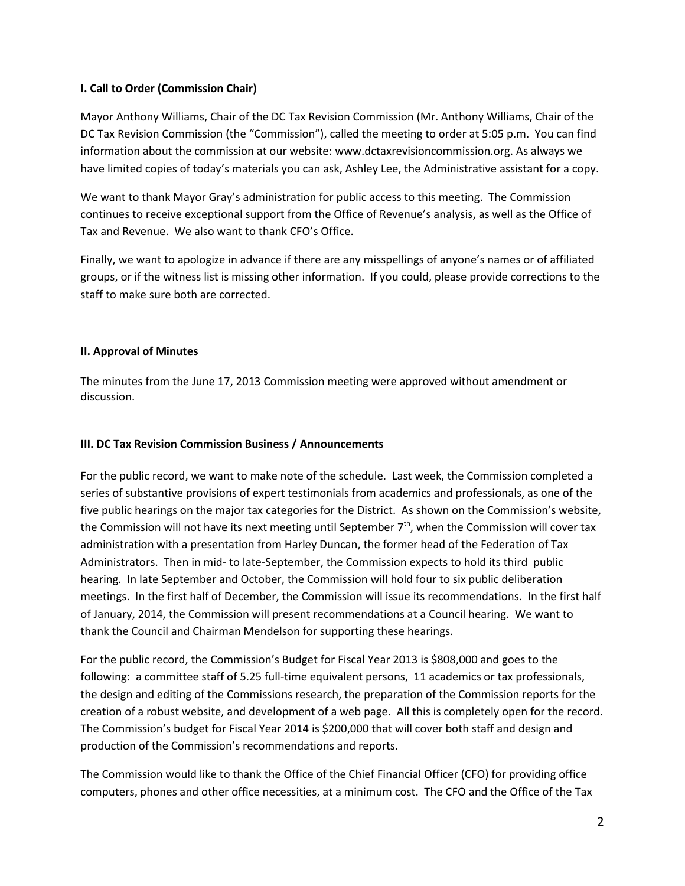### **I. Call to Order (Commission Chair)**

Mayor Anthony Williams, Chair of the DC Tax Revision Commission (Mr. Anthony Williams, Chair of the DC Tax Revision Commission (the "Commission"), called the meeting to order at 5:05 p.m. You can find information about the commission at our website[: www.dctaxrevisioncommission.org.](http://www.dctaxrevisioncommission.org/) As always we have limited copies of today's materials you can ask, Ashley Lee, the Administrative assistant for a copy.

We want to thank Mayor Gray's administration for public access to this meeting. The Commission continues to receive exceptional support from the Office of Revenue's analysis, as well as the Office of Tax and Revenue. We also want to thank CFO's Office.

Finally, we want to apologize in advance if there are any misspellings of anyone's names or of affiliated groups, or if the witness list is missing other information. If you could, please provide corrections to the staff to make sure both are corrected.

### **II. Approval of Minutes**

The minutes from the June 17, 2013 Commission meeting were approved without amendment or discussion.

### **III. DC Tax Revision Commission Business / Announcements**

For the public record, we want to make note of the schedule. Last week, the Commission completed a series of substantive provisions of expert testimonials from academics and professionals, as one of the five public hearings on the major tax categories for the District. As shown on the Commission's website, the Commission will not have its next meeting until September  $7<sup>th</sup>$ , when the Commission will cover tax administration with a presentation from Harley Duncan, the former head of the Federation of Tax Administrators. Then in mid- to late-September, the Commission expects to hold its third public hearing. In late September and October, the Commission will hold four to six public deliberation meetings. In the first half of December, the Commission will issue its recommendations. In the first half of January, 2014, the Commission will present recommendations at a Council hearing. We want to thank the Council and Chairman Mendelson for supporting these hearings.

For the public record, the Commission's Budget for Fiscal Year 2013 is \$808,000 and goes to the following: a committee staff of 5.25 full-time equivalent persons, 11 academics or tax professionals, the design and editing of the Commissions research, the preparation of the Commission reports for the creation of a robust website, and development of a web page. All this is completely open for the record. The Commission's budget for Fiscal Year 2014 is \$200,000 that will cover both staff and design and production of the Commission's recommendations and reports.

The Commission would like to thank the Office of the Chief Financial Officer (CFO) for providing office computers, phones and other office necessities, at a minimum cost. The CFO and the Office of the Tax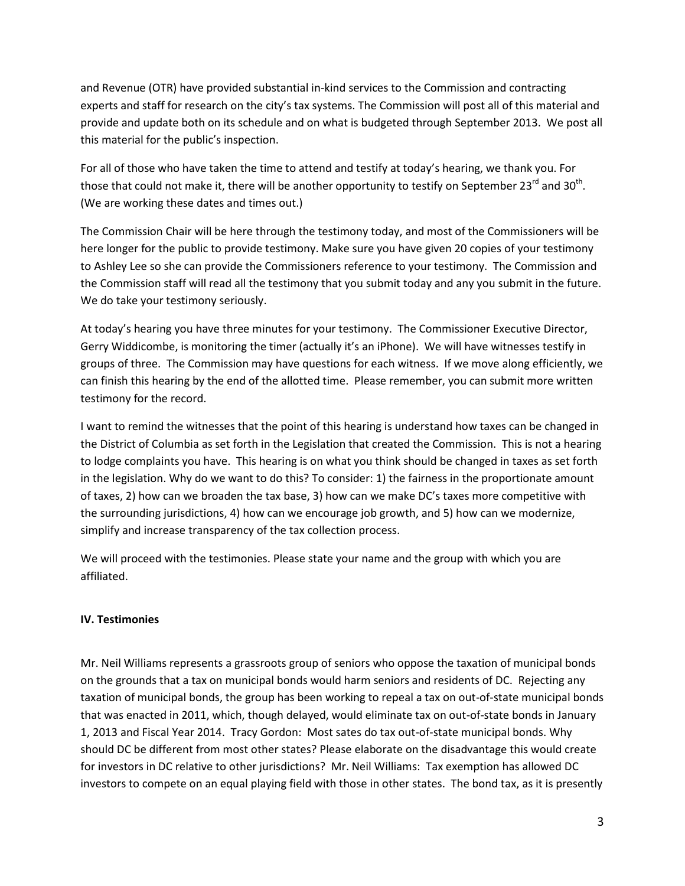and Revenue (OTR) have provided substantial in-kind services to the Commission and contracting experts and staff for research on the city's tax systems. The Commission will post all of this material and provide and update both on its schedule and on what is budgeted through September 2013. We post all this material for the public's inspection.

For all of those who have taken the time to attend and testify at today's hearing, we thank you. For those that could not make it, there will be another opportunity to testify on September 23<sup>rd</sup> and 30<sup>th</sup>. (We are working these dates and times out.)

The Commission Chair will be here through the testimony today, and most of the Commissioners will be here longer for the public to provide testimony. Make sure you have given 20 copies of your testimony to Ashley Lee so she can provide the Commissioners reference to your testimony. The Commission and the Commission staff will read all the testimony that you submit today and any you submit in the future. We do take your testimony seriously.

At today's hearing you have three minutes for your testimony. The Commissioner Executive Director, Gerry Widdicombe, is monitoring the timer (actually it's an iPhone). We will have witnesses testify in groups of three. The Commission may have questions for each witness. If we move along efficiently, we can finish this hearing by the end of the allotted time. Please remember, you can submit more written testimony for the record.

I want to remind the witnesses that the point of this hearing is understand how taxes can be changed in the District of Columbia as set forth in the Legislation that created the Commission. This is not a hearing to lodge complaints you have. This hearing is on what you think should be changed in taxes as set forth in the legislation. Why do we want to do this? To consider: 1) the fairness in the proportionate amount of taxes, 2) how can we broaden the tax base, 3) how can we make DC's taxes more competitive with the surrounding jurisdictions, 4) how can we encourage job growth, and 5) how can we modernize, simplify and increase transparency of the tax collection process.

We will proceed with the testimonies. Please state your name and the group with which you are affiliated.

#### **IV. Testimonies**

Mr. Neil Williams represents a grassroots group of seniors who oppose the taxation of municipal bonds on the grounds that a tax on municipal bonds would harm seniors and residents of DC. Rejecting any taxation of municipal bonds, the group has been working to repeal a tax on out-of-state municipal bonds that was enacted in 2011, which, though delayed, would eliminate tax on out-of-state bonds in January 1, 2013 and Fiscal Year 2014. Tracy Gordon: Most sates do tax out-of-state municipal bonds. Why should DC be different from most other states? Please elaborate on the disadvantage this would create for investors in DC relative to other jurisdictions? Mr. Neil Williams: Tax exemption has allowed DC investors to compete on an equal playing field with those in other states. The bond tax, as it is presently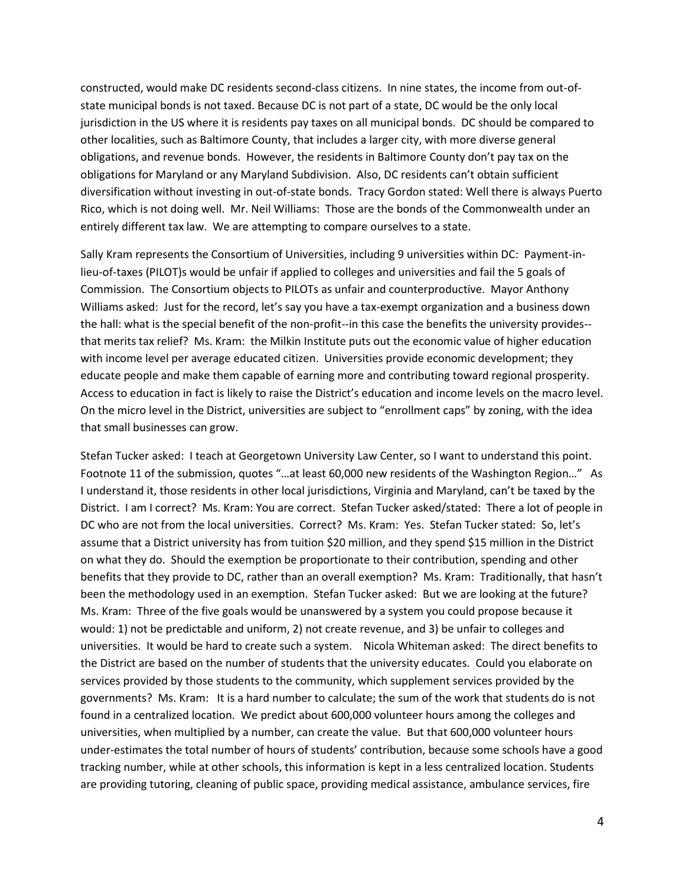constructed, would make DC residents second-class citizens. In nine states, the income from out-ofstate municipal bonds is not taxed. Because DC is not part of a state, DC would be the only local jurisdiction in the US where it is residents pay taxes on all municipal bonds. DC should be compared to other localities, such as Baltimore County, that includes a larger city, with more diverse general obligations, and revenue bonds. However, the residents in Baltimore County don't pay tax on the obligations for Maryland or any Maryland Subdivision. Also, DC residents can't obtain sufficient diversification without investing in out-of-state bonds. Tracy Gordon stated: Well there is always Puerto Rico, which is not doing well. Mr. Neil Williams: Those are the bonds of the Commonwealth under an entirely different tax law. We are attempting to compare ourselves to a state.

Sally Kram represents the Consortium of Universities, including 9 universities within DC: Payment-inlieu-of-taxes (PILOT)s would be unfair if applied to colleges and universities and fail the 5 goals of Commission. The Consortium objects to PILOTs as unfair and counterproductive. Mayor Anthony Williams asked: Just for the record, let's say you have a tax-exempt organization and a business down the hall: what is the special benefit of the non-profit--in this case the benefits the university provides- that merits tax relief? Ms. Kram: the Milkin Institute puts out the economic value of higher education with income level per average educated citizen. Universities provide economic development; they educate people and make them capable of earning more and contributing toward regional prosperity. Access to education in fact is likely to raise the District's education and income levels on the macro level. On the micro level in the District, universities are subject to "enrollment caps" by zoning, with the idea that small businesses can grow.

Stefan Tucker asked: I teach at Georgetown University Law Center, so I want to understand this point. Footnote 11 of the submission, quotes "…at least 60,000 new residents of the Washington Region…" As I understand it, those residents in other local jurisdictions, Virginia and Maryland, can't be taxed by the District. I am I correct? Ms. Kram: You are correct. Stefan Tucker asked/stated: There a lot of people in DC who are not from the local universities. Correct? Ms. Kram: Yes. Stefan Tucker stated: So, let's assume that a District university has from tuition \$20 million, and they spend \$15 million in the District on what they do. Should the exemption be proportionate to their contribution, spending and other benefits that they provide to DC, rather than an overall exemption? Ms. Kram: Traditionally, that hasn't been the methodology used in an exemption. Stefan Tucker asked: But we are looking at the future? Ms. Kram: Three of the five goals would be unanswered by a system you could propose because it would: 1) not be predictable and uniform, 2) not create revenue, and 3) be unfair to colleges and universities. It would be hard to create such a system. Nicola Whiteman asked: The direct benefits to the District are based on the number of students that the university educates. Could you elaborate on services provided by those students to the community, which supplement services provided by the governments? Ms. Kram: It is a hard number to calculate; the sum of the work that students do is not found in a centralized location. We predict about 600,000 volunteer hours among the colleges and universities, when multiplied by a number, can create the value. But that 600,000 volunteer hours under-estimates the total number of hours of students' contribution, because some schools have a good tracking number, while at other schools, this information is kept in a less centralized location. Students are providing tutoring, cleaning of public space, providing medical assistance, ambulance services, fire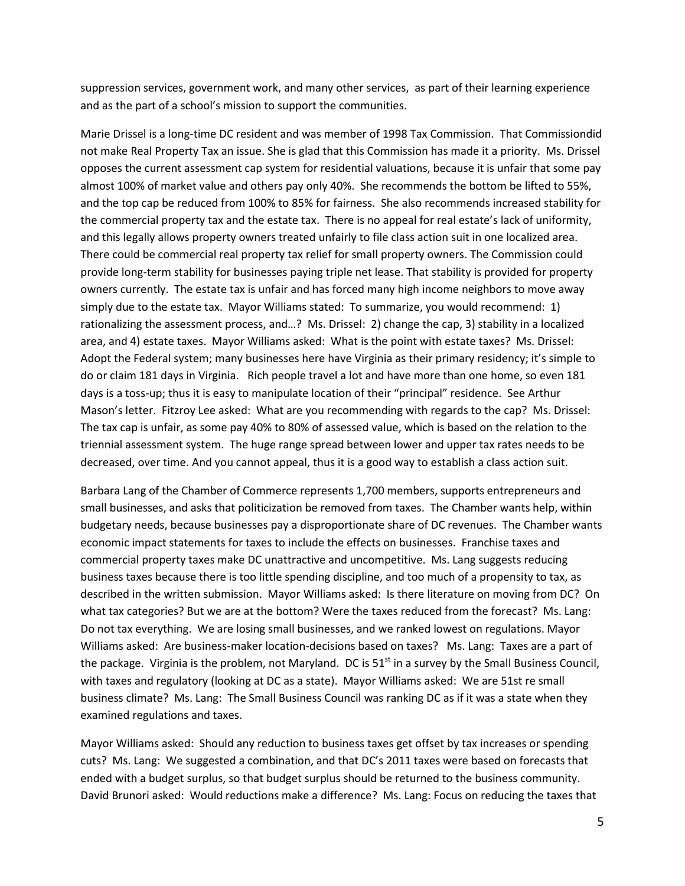suppression services, government work, and many other services, as part of their learning experience and as the part of a school's mission to support the communities.

Marie Drissel is a long-time DC resident and was member of 1998 Tax Commission. That Commissiondid not make Real Property Tax an issue. She is glad that this Commission has made it a priority. Ms. Drissel opposes the current assessment cap system for residential valuations, because it is unfair that some pay almost 100% of market value and others pay only 40%. She recommends the bottom be lifted to 55%, and the top cap be reduced from 100% to 85% for fairness. She also recommends increased stability for the commercial property tax and the estate tax. There is no appeal for real estate's lack of uniformity, and this legally allows property owners treated unfairly to file class action suit in one localized area. There could be commercial real property tax relief for small property owners. The Commission could provide long-term stability for businesses paying triple net lease. That stability is provided for property owners currently. The estate tax is unfair and has forced many high income neighbors to move away simply due to the estate tax. Mayor Williams stated: To summarize, you would recommend: 1) rationalizing the assessment process, and…? Ms. Drissel: 2) change the cap, 3) stability in a localized area, and 4) estate taxes. Mayor Williams asked: What is the point with estate taxes? Ms. Drissel: Adopt the Federal system; many businesses here have Virginia as their primary residency; it's simple to do or claim 181 days in Virginia. Rich people travel a lot and have more than one home, so even 181 days is a toss-up; thus it is easy to manipulate location of their "principal" residence. See Arthur Mason's letter. Fitzroy Lee asked: What are you recommending with regards to the cap? Ms. Drissel: The tax cap is unfair, as some pay 40% to 80% of assessed value, which is based on the relation to the triennial assessment system. The huge range spread between lower and upper tax rates needs to be decreased, over time. And you cannot appeal, thus it is a good way to establish a class action suit.

Barbara Lang of the Chamber of Commerce represents 1,700 members, supports entrepreneurs and small businesses, and asks that politicization be removed from taxes. The Chamber wants help, within budgetary needs, because businesses pay a disproportionate share of DC revenues. The Chamber wants economic impact statements for taxes to include the effects on businesses. Franchise taxes and commercial property taxes make DC unattractive and uncompetitive. Ms. Lang suggests reducing business taxes because there is too little spending discipline, and too much of a propensity to tax, as described in the written submission. Mayor Williams asked: Is there literature on moving from DC? On what tax categories? But we are at the bottom? Were the taxes reduced from the forecast? Ms. Lang: Do not tax everything. We are losing small businesses, and we ranked lowest on regulations. Mayor Williams asked: Are business-maker location-decisions based on taxes? Ms. Lang: Taxes are a part of the package. Virginia is the problem, not Maryland. DC is  $51<sup>st</sup>$  in a survey by the Small Business Council, with taxes and regulatory (looking at DC as a state). Mayor Williams asked: We are 51st re small business climate? Ms. Lang: The Small Business Council was ranking DC as if it was a state when they examined regulations and taxes.

Mayor Williams asked: Should any reduction to business taxes get offset by tax increases or spending cuts? Ms. Lang: We suggested a combination, and that DC's 2011 taxes were based on forecasts that ended with a budget surplus, so that budget surplus should be returned to the business community. David Brunori asked: Would reductions make a difference? Ms. Lang: Focus on reducing the taxes that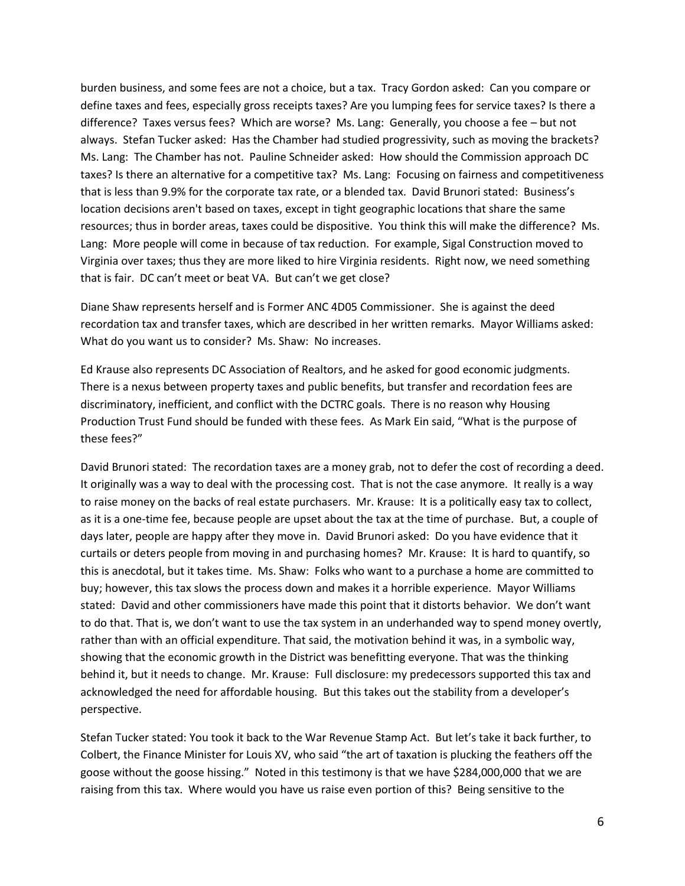burden business, and some fees are not a choice, but a tax. Tracy Gordon asked: Can you compare or define taxes and fees, especially gross receipts taxes? Are you lumping fees for service taxes? Is there a difference? Taxes versus fees? Which are worse? Ms. Lang: Generally, you choose a fee – but not always. Stefan Tucker asked: Has the Chamber had studied progressivity, such as moving the brackets? Ms. Lang: The Chamber has not. Pauline Schneider asked: How should the Commission approach DC taxes? Is there an alternative for a competitive tax? Ms. Lang: Focusing on fairness and competitiveness that is less than 9.9% for the corporate tax rate, or a blended tax. David Brunori stated: Business's location decisions aren't based on taxes, except in tight geographic locations that share the same resources; thus in border areas, taxes could be dispositive. You think this will make the difference? Ms. Lang: More people will come in because of tax reduction. For example, Sigal Construction moved to Virginia over taxes; thus they are more liked to hire Virginia residents. Right now, we need something that is fair. DC can't meet or beat VA. But can't we get close?

Diane Shaw represents herself and is Former ANC 4D05 Commissioner. She is against the deed recordation tax and transfer taxes, which are described in her written remarks. Mayor Williams asked: What do you want us to consider? Ms. Shaw: No increases.

Ed Krause also represents DC Association of Realtors, and he asked for good economic judgments. There is a nexus between property taxes and public benefits, but transfer and recordation fees are discriminatory, inefficient, and conflict with the DCTRC goals. There is no reason why Housing Production Trust Fund should be funded with these fees. As Mark Ein said, "What is the purpose of these fees?"

David Brunori stated: The recordation taxes are a money grab, not to defer the cost of recording a deed. It originally was a way to deal with the processing cost. That is not the case anymore. It really is a way to raise money on the backs of real estate purchasers. Mr. Krause: It is a politically easy tax to collect, as it is a one-time fee, because people are upset about the tax at the time of purchase. But, a couple of days later, people are happy after they move in. David Brunori asked: Do you have evidence that it curtails or deters people from moving in and purchasing homes? Mr. Krause: It is hard to quantify, so this is anecdotal, but it takes time. Ms. Shaw: Folks who want to a purchase a home are committed to buy; however, this tax slows the process down and makes it a horrible experience. Mayor Williams stated: David and other commissioners have made this point that it distorts behavior. We don't want to do that. That is, we don't want to use the tax system in an underhanded way to spend money overtly, rather than with an official expenditure. That said, the motivation behind it was, in a symbolic way, showing that the economic growth in the District was benefitting everyone. That was the thinking behind it, but it needs to change. Mr. Krause: Full disclosure: my predecessors supported this tax and acknowledged the need for affordable housing. But this takes out the stability from a developer's perspective.

Stefan Tucker stated: You took it back to the War Revenue Stamp Act. But let's take it back further, to Colbert, the Finance Minister for Louis XV, who said "the art of taxation is plucking the feathers off the goose without the goose hissing." Noted in this testimony is that we have \$284,000,000 that we are raising from this tax. Where would you have us raise even portion of this? Being sensitive to the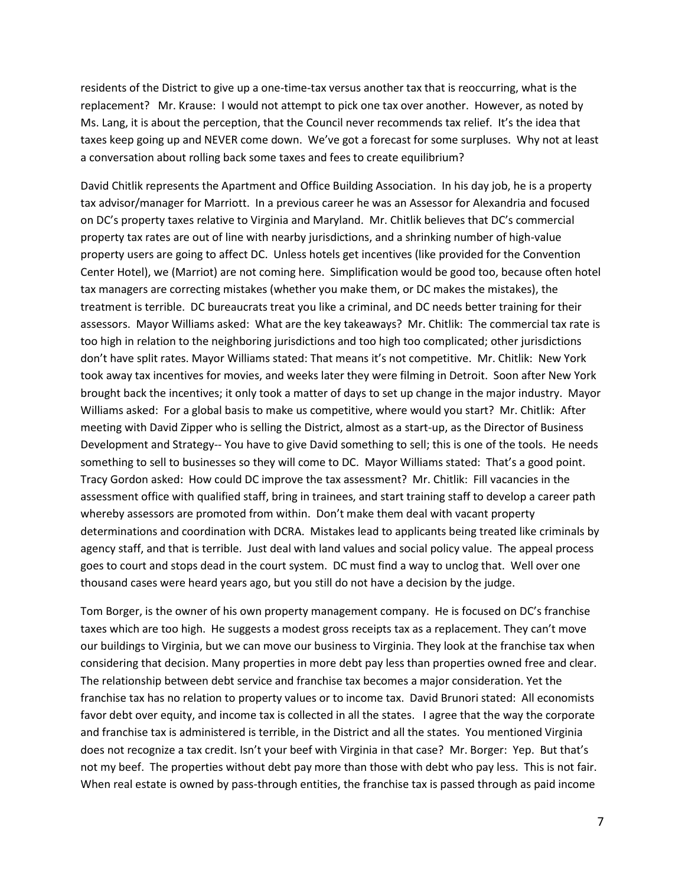residents of the District to give up a one-time-tax versus another tax that is reoccurring, what is the replacement? Mr. Krause: I would not attempt to pick one tax over another. However, as noted by Ms. Lang, it is about the perception, that the Council never recommends tax relief. It's the idea that taxes keep going up and NEVER come down. We've got a forecast for some surpluses. Why not at least a conversation about rolling back some taxes and fees to create equilibrium?

David Chitlik represents the Apartment and Office Building Association. In his day job, he is a property tax advisor/manager for Marriott. In a previous career he was an Assessor for Alexandria and focused on DC's property taxes relative to Virginia and Maryland. Mr. Chitlik believes that DC's commercial property tax rates are out of line with nearby jurisdictions, and a shrinking number of high-value property users are going to affect DC. Unless hotels get incentives (like provided for the Convention Center Hotel), we (Marriot) are not coming here. Simplification would be good too, because often hotel tax managers are correcting mistakes (whether you make them, or DC makes the mistakes), the treatment is terrible. DC bureaucrats treat you like a criminal, and DC needs better training for their assessors. Mayor Williams asked: What are the key takeaways? Mr. Chitlik: The commercial tax rate is too high in relation to the neighboring jurisdictions and too high too complicated; other jurisdictions don't have split rates. Mayor Williams stated: That means it's not competitive. Mr. Chitlik: New York took away tax incentives for movies, and weeks later they were filming in Detroit. Soon after New York brought back the incentives; it only took a matter of days to set up change in the major industry. Mayor Williams asked: For a global basis to make us competitive, where would you start? Mr. Chitlik: After meeting with David Zipper who is selling the District, almost as a start-up, as the Director of Business Development and Strategy-- You have to give David something to sell; this is one of the tools. He needs something to sell to businesses so they will come to DC. Mayor Williams stated: That's a good point. Tracy Gordon asked: How could DC improve the tax assessment? Mr. Chitlik: Fill vacancies in the assessment office with qualified staff, bring in trainees, and start training staff to develop a career path whereby assessors are promoted from within. Don't make them deal with vacant property determinations and coordination with DCRA. Mistakes lead to applicants being treated like criminals by agency staff, and that is terrible. Just deal with land values and social policy value. The appeal process goes to court and stops dead in the court system. DC must find a way to unclog that. Well over one thousand cases were heard years ago, but you still do not have a decision by the judge.

Tom Borger, is the owner of his own property management company. He is focused on DC's franchise taxes which are too high. He suggests a modest gross receipts tax as a replacement. They can't move our buildings to Virginia, but we can move our business to Virginia. They look at the franchise tax when considering that decision. Many properties in more debt pay less than properties owned free and clear. The relationship between debt service and franchise tax becomes a major consideration. Yet the franchise tax has no relation to property values or to income tax. David Brunori stated: All economists favor debt over equity, and income tax is collected in all the states. I agree that the way the corporate and franchise tax is administered is terrible, in the District and all the states. You mentioned Virginia does not recognize a tax credit. Isn't your beef with Virginia in that case?Mr. Borger: Yep. But that's not my beef. The properties without debt pay more than those with debt who pay less. This is not fair. When real estate is owned by pass-through entities, the franchise tax is passed through as paid income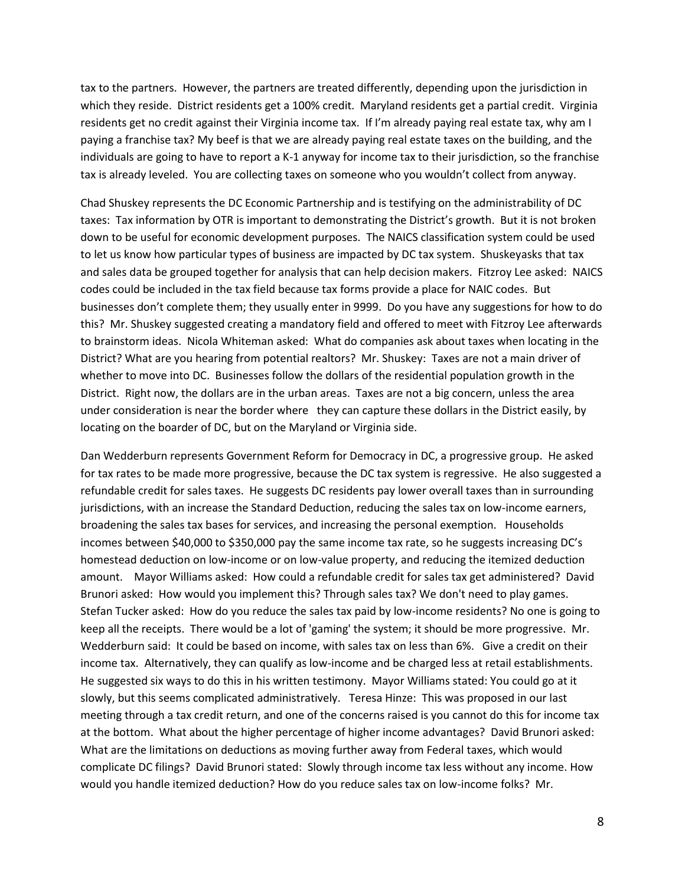tax to the partners. However, the partners are treated differently, depending upon the jurisdiction in which they reside. District residents get a 100% credit. Maryland residents get a partial credit. Virginia residents get no credit against their Virginia income tax. If I'm already paying real estate tax, why am I paying a franchise tax? My beef is that we are already paying real estate taxes on the building, and the individuals are going to have to report a K-1 anyway for income tax to their jurisdiction, so the franchise tax is already leveled. You are collecting taxes on someone who you wouldn't collect from anyway.

Chad Shuskey represents the DC Economic Partnership and is testifying on the administrability of DC taxes: Tax information by OTR is important to demonstrating the District's growth. But it is not broken down to be useful for economic development purposes. The NAICS classification system could be used to let us know how particular types of business are impacted by DC tax system. Shuskeyasks that tax and sales data be grouped together for analysis that can help decision makers. Fitzroy Lee asked: NAICS codes could be included in the tax field because tax forms provide a place for NAIC codes. But businesses don't complete them; they usually enter in 9999. Do you have any suggestions for how to do this? Mr. Shuskey suggested creating a mandatory field and offered to meet with Fitzroy Lee afterwards to brainstorm ideas. Nicola Whiteman asked: What do companies ask about taxes when locating in the District? What are you hearing from potential realtors? Mr. Shuskey: Taxes are not a main driver of whether to move into DC. Businesses follow the dollars of the residential population growth in the District. Right now, the dollars are in the urban areas. Taxes are not a big concern, unless the area under consideration is near the border where they can capture these dollars in the District easily, by locating on the boarder of DC, but on the Maryland or Virginia side.

Dan Wedderburn represents Government Reform for Democracy in DC, a progressive group. He asked for tax rates to be made more progressive, because the DC tax system is regressive. He also suggested a refundable credit for sales taxes. He suggests DC residents pay lower overall taxes than in surrounding jurisdictions, with an increase the Standard Deduction, reducing the sales tax on low-income earners, broadening the sales tax bases for services, and increasing the personal exemption. Households incomes between \$40,000 to \$350,000 pay the same income tax rate, so he suggests increasing DC's homestead deduction on low-income or on low-value property, and reducing the itemized deduction amount. Mayor Williams asked: How could a refundable credit for sales tax get administered? David Brunori asked: How would you implement this? Through sales tax? We don't need to play games. Stefan Tucker asked: How do you reduce the sales tax paid by low-income residents? No one is going to keep all the receipts. There would be a lot of 'gaming' the system; it should be more progressive. Mr. Wedderburn said: It could be based on income, with sales tax on less than 6%. Give a credit on their income tax. Alternatively, they can qualify as low-income and be charged less at retail establishments. He suggested six ways to do this in his written testimony. Mayor Williams stated: You could go at it slowly, but this seems complicated administratively. Teresa Hinze: This was proposed in our last meeting through a tax credit return, and one of the concerns raised is you cannot do this for income tax at the bottom. What about the higher percentage of higher income advantages? David Brunori asked: What are the limitations on deductions as moving further away from Federal taxes, which would complicate DC filings? David Brunori stated: Slowly through income tax less without any income. How would you handle itemized deduction? How do you reduce sales tax on low-income folks? Mr.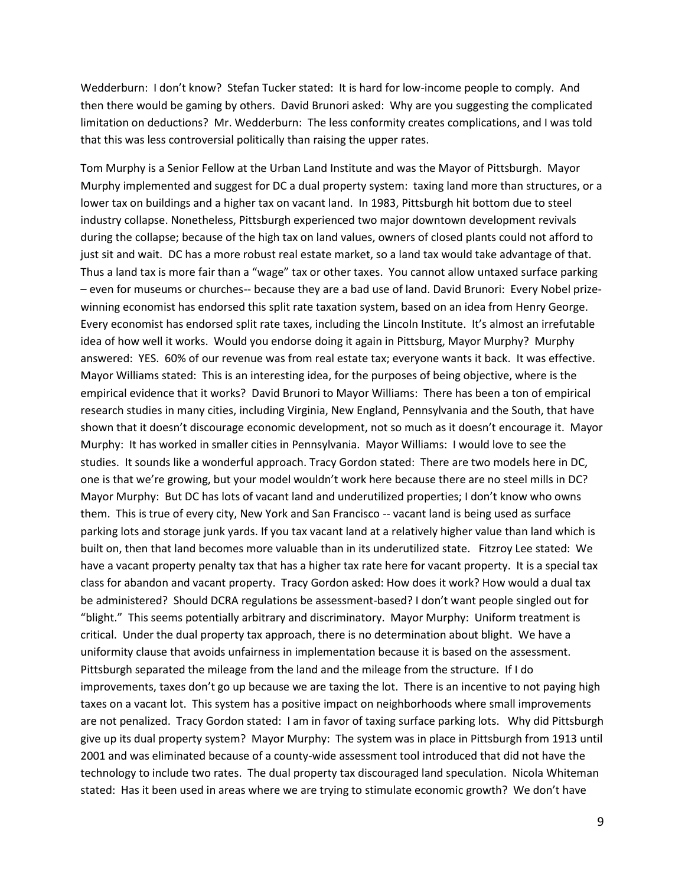Wedderburn: I don't know? Stefan Tucker stated: It is hard for low-income people to comply. And then there would be gaming by others. David Brunori asked: Why are you suggesting the complicated limitation on deductions? Mr. Wedderburn: The less conformity creates complications, and I was told that this was less controversial politically than raising the upper rates.

Tom Murphy is a Senior Fellow at the Urban Land Institute and was the Mayor of Pittsburgh. Mayor Murphy implemented and suggest for DC a dual property system: taxing land more than structures, or a lower tax on buildings and a higher tax on vacant land. In 1983, Pittsburgh hit bottom due to steel industry collapse. Nonetheless, Pittsburgh experienced two major downtown development revivals during the collapse; because of the high tax on land values, owners of closed plants could not afford to just sit and wait. DC has a more robust real estate market, so a land tax would take advantage of that. Thus a land tax is more fair than a "wage" tax or other taxes. You cannot allow untaxed surface parking – even for museums or churches-- because they are a bad use of land. David Brunori: Every Nobel prizewinning economist has endorsed this split rate taxation system, based on an idea from Henry George. Every economist has endorsed split rate taxes, including the Lincoln Institute. It's almost an irrefutable idea of how well it works. Would you endorse doing it again in Pittsburg, Mayor Murphy? Murphy answered: YES. 60% of our revenue was from real estate tax; everyone wants it back. It was effective. Mayor Williams stated: This is an interesting idea, for the purposes of being objective, where is the empirical evidence that it works? David Brunori to Mayor Williams: There has been a ton of empirical research studies in many cities, including Virginia, New England, Pennsylvania and the South, that have shown that it doesn't discourage economic development, not so much as it doesn't encourage it. Mayor Murphy: It has worked in smaller cities in Pennsylvania. Mayor Williams: I would love to see the studies. It sounds like a wonderful approach. Tracy Gordon stated: There are two models here in DC, one is that we're growing, but your model wouldn't work here because there are no steel mills in DC? Mayor Murphy: But DC has lots of vacant land and underutilized properties; I don't know who owns them. This is true of every city, New York and San Francisco -- vacant land is being used as surface parking lots and storage junk yards. If you tax vacant land at a relatively higher value than land which is built on, then that land becomes more valuable than in its underutilized state. Fitzroy Lee stated: We have a vacant property penalty tax that has a higher tax rate here for vacant property. It is a special tax class for abandon and vacant property. Tracy Gordon asked: How does it work? How would a dual tax be administered? Should DCRA regulations be assessment-based? I don't want people singled out for "blight." This seems potentially arbitrary and discriminatory. Mayor Murphy: Uniform treatment is critical. Under the dual property tax approach, there is no determination about blight. We have a uniformity clause that avoids unfairness in implementation because it is based on the assessment. Pittsburgh separated the mileage from the land and the mileage from the structure. If I do improvements, taxes don't go up because we are taxing the lot. There is an incentive to not paying high taxes on a vacant lot. This system has a positive impact on neighborhoods where small improvements are not penalized. Tracy Gordon stated: I am in favor of taxing surface parking lots. Why did Pittsburgh give up its dual property system? Mayor Murphy: The system was in place in Pittsburgh from 1913 until 2001 and was eliminated because of a county-wide assessment tool introduced that did not have the technology to include two rates. The dual property tax discouraged land speculation. Nicola Whiteman stated: Has it been used in areas where we are trying to stimulate economic growth? We don't have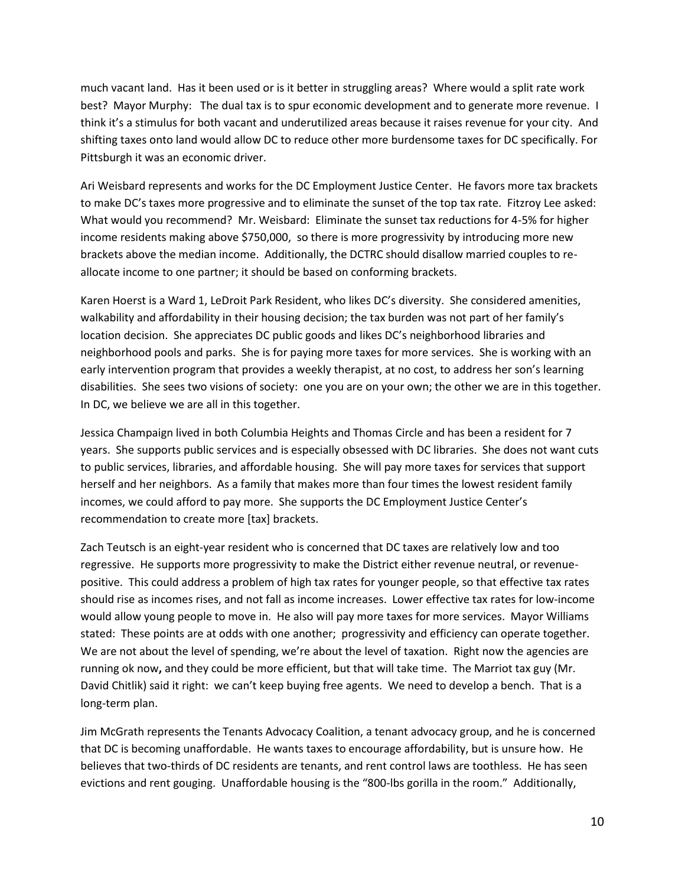much vacant land. Has it been used or is it better in struggling areas? Where would a split rate work best? Mayor Murphy: The dual tax is to spur economic development and to generate more revenue. I think it's a stimulus for both vacant and underutilized areas because it raises revenue for your city. And shifting taxes onto land would allow DC to reduce other more burdensome taxes for DC specifically. For Pittsburgh it was an economic driver.

Ari Weisbard represents and works for the DC Employment Justice Center. He favors more tax brackets to make DC's taxes more progressive and to eliminate the sunset of the top tax rate. Fitzroy Lee asked: What would you recommend? Mr. Weisbard: Eliminate the sunset tax reductions for 4-5% for higher income residents making above \$750,000, so there is more progressivity by introducing more new brackets above the median income. Additionally, the DCTRC should disallow married couples to reallocate income to one partner; it should be based on conforming brackets.

Karen Hoerst is a Ward 1, LeDroit Park Resident, who likes DC's diversity. She considered amenities, walkability and affordability in their housing decision; the tax burden was not part of her family's location decision. She appreciates DC public goods and likes DC's neighborhood libraries and neighborhood pools and parks. She is for paying more taxes for more services. She is working with an early intervention program that provides a weekly therapist, at no cost, to address her son's learning disabilities. She sees two visions of society: one you are on your own; the other we are in this together. In DC, we believe we are all in this together.

Jessica Champaign lived in both Columbia Heights and Thomas Circle and has been a resident for 7 years. She supports public services and is especially obsessed with DC libraries. She does not want cuts to public services, libraries, and affordable housing. She will pay more taxes for services that support herself and her neighbors. As a family that makes more than four times the lowest resident family incomes, we could afford to pay more. She supports the DC Employment Justice Center's recommendation to create more [tax] brackets.

Zach Teutsch is an eight-year resident who is concerned that DC taxes are relatively low and too regressive. He supports more progressivity to make the District either revenue neutral, or revenuepositive. This could address a problem of high tax rates for younger people, so that effective tax rates should rise as incomes rises, and not fall as income increases. Lower effective tax rates for low-income would allow young people to move in. He also will pay more taxes for more services. Mayor Williams stated: These points are at odds with one another; progressivity and efficiency can operate together. We are not about the level of spending, we're about the level of taxation. Right now the agencies are running ok now**,** and they could be more efficient, but that will take time. The Marriot tax guy (Mr. David Chitlik) said it right: we can't keep buying free agents. We need to develop a bench. That is a long-term plan.

Jim McGrath represents the Tenants Advocacy Coalition, a tenant advocacy group, and he is concerned that DC is becoming unaffordable. He wants taxes to encourage affordability, but is unsure how. He believes that two-thirds of DC residents are tenants, and rent control laws are toothless. He has seen evictions and rent gouging. Unaffordable housing is the "800-lbs gorilla in the room." Additionally,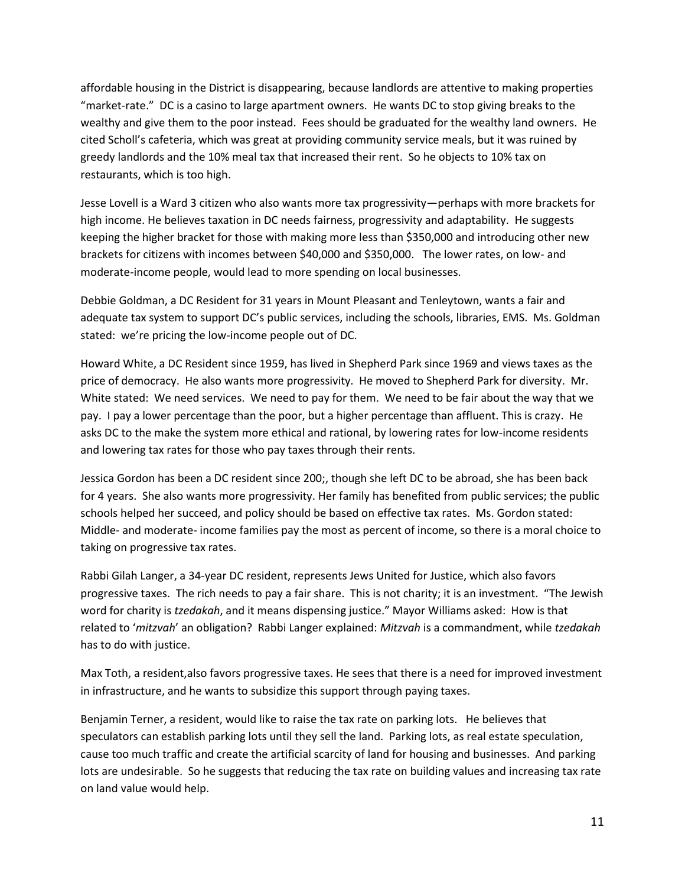affordable housing in the District is disappearing, because landlords are attentive to making properties "market-rate." DC is a casino to large apartment owners. He wants DC to stop giving breaks to the wealthy and give them to the poor instead. Fees should be graduated for the wealthy land owners. He cited Scholl's cafeteria, which was great at providing community service meals, but it was ruined by greedy landlords and the 10% meal tax that increased their rent. So he objects to 10% tax on restaurants, which is too high.

Jesse Lovell is a Ward 3 citizen who also wants more tax progressivity—perhaps with more brackets for high income. He believes taxation in DC needs fairness, progressivity and adaptability. He suggests keeping the higher bracket for those with making more less than \$350,000 and introducing other new brackets for citizens with incomes between \$40,000 and \$350,000. The lower rates, on low- and moderate-income people, would lead to more spending on local businesses.

Debbie Goldman, a DC Resident for 31 years in Mount Pleasant and Tenleytown, wants a fair and adequate tax system to support DC's public services, including the schools, libraries, EMS. Ms. Goldman stated: we're pricing the low-income people out of DC.

Howard White, a DC Resident since 1959, has lived in Shepherd Park since 1969 and views taxes as the price of democracy. He also wants more progressivity. He moved to Shepherd Park for diversity. Mr. White stated: We need services. We need to pay for them. We need to be fair about the way that we pay. I pay a lower percentage than the poor, but a higher percentage than affluent. This is crazy. He asks DC to the make the system more ethical and rational, by lowering rates for low-income residents and lowering tax rates for those who pay taxes through their rents.

Jessica Gordon has been a DC resident since 200;, though she left DC to be abroad, she has been back for 4 years. She also wants more progressivity. Her family has benefited from public services; the public schools helped her succeed, and policy should be based on effective tax rates. Ms. Gordon stated: Middle- and moderate- income families pay the most as percent of income, so there is a moral choice to taking on progressive tax rates.

Rabbi Gilah Langer, a 34-year DC resident, represents Jews United for Justice, which also favors progressive taxes. The rich needs to pay a fair share. This is not charity; it is an investment. "The Jewish word for charity is *tzedakah*, and it means dispensing justice." Mayor Williams asked: How is that related to '*mitzvah*' an obligation? Rabbi Langer explained: *Mitzvah* is a commandment, while *tzedakah* has to do with justice.

Max Toth, a resident,also favors progressive taxes. He sees that there is a need for improved investment in infrastructure, and he wants to subsidize this support through paying taxes.

Benjamin Terner, a resident, would like to raise the tax rate on parking lots. He believes that speculators can establish parking lots until they sell the land. Parking lots, as real estate speculation, cause too much traffic and create the artificial scarcity of land for housing and businesses. And parking lots are undesirable. So he suggests that reducing the tax rate on building values and increasing tax rate on land value would help.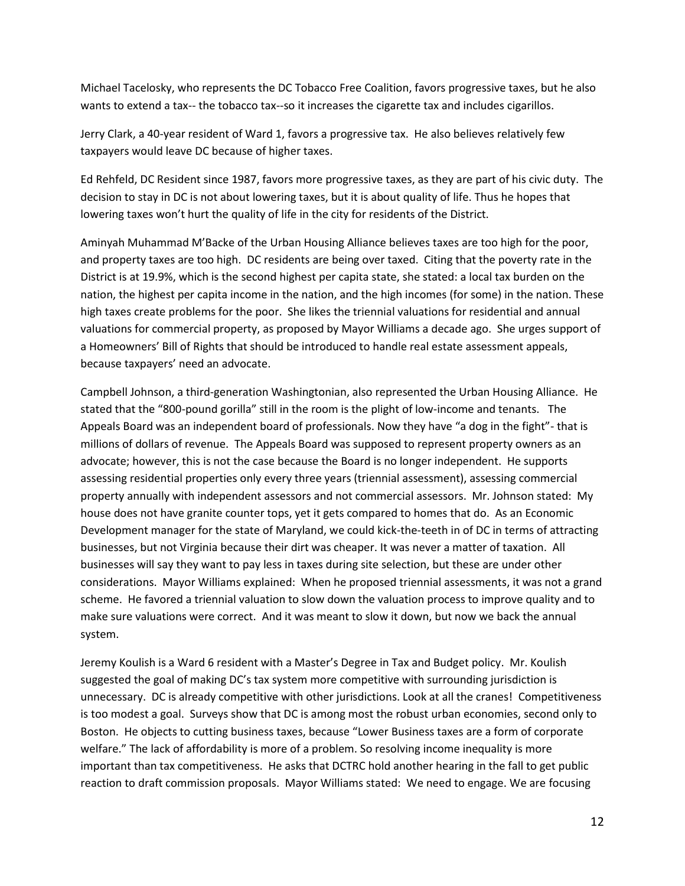Michael Tacelosky, who represents the DC Tobacco Free Coalition, favors progressive taxes, but he also wants to extend a tax-- the tobacco tax--so it increases the cigarette tax and includes cigarillos.

Jerry Clark, a 40-year resident of Ward 1, favors a progressive tax. He also believes relatively few taxpayers would leave DC because of higher taxes.

Ed Rehfeld, DC Resident since 1987, favors more progressive taxes, as they are part of his civic duty. The decision to stay in DC is not about lowering taxes, but it is about quality of life. Thus he hopes that lowering taxes won't hurt the quality of life in the city for residents of the District.

Aminyah Muhammad M'Backe of the Urban Housing Alliance believes taxes are too high for the poor, and property taxes are too high. DC residents are being over taxed. Citing that the poverty rate in the District is at 19.9%, which is the second highest per capita state, she stated: a local tax burden on the nation, the highest per capita income in the nation, and the high incomes (for some) in the nation. These high taxes create problems for the poor. She likes the triennial valuations for residential and annual valuations for commercial property, as proposed by Mayor Williams a decade ago. She urges support of a Homeowners' Bill of Rights that should be introduced to handle real estate assessment appeals, because taxpayers' need an advocate.

Campbell Johnson, a third-generation Washingtonian, also represented the Urban Housing Alliance. He stated that the "800-pound gorilla" still in the room is the plight of low-income and tenants. The Appeals Board was an independent board of professionals. Now they have "a dog in the fight"- that is millions of dollars of revenue. The Appeals Board was supposed to represent property owners as an advocate; however, this is not the case because the Board is no longer independent. He supports assessing residential properties only every three years (triennial assessment), assessing commercial property annually with independent assessors and not commercial assessors. Mr. Johnson stated: My house does not have granite counter tops, yet it gets compared to homes that do. As an Economic Development manager for the state of Maryland, we could kick-the-teeth in of DC in terms of attracting businesses, but not Virginia because their dirt was cheaper. It was never a matter of taxation. All businesses will say they want to pay less in taxes during site selection, but these are under other considerations. Mayor Williams explained: When he proposed triennial assessments, it was not a grand scheme. He favored a triennial valuation to slow down the valuation process to improve quality and to make sure valuations were correct. And it was meant to slow it down, but now we back the annual system.

Jeremy Koulish is a Ward 6 resident with a Master's Degree in Tax and Budget policy. Mr. Koulish suggested the goal of making DC's tax system more competitive with surrounding jurisdiction is unnecessary. DC is already competitive with other jurisdictions. Look at all the cranes! Competitiveness is too modest a goal. Surveys show that DC is among most the robust urban economies, second only to Boston. He objects to cutting business taxes, because "Lower Business taxes are a form of corporate welfare." The lack of affordability is more of a problem. So resolving income inequality is more important than tax competitiveness. He asks that DCTRC hold another hearing in the fall to get public reaction to draft commission proposals. Mayor Williams stated: We need to engage. We are focusing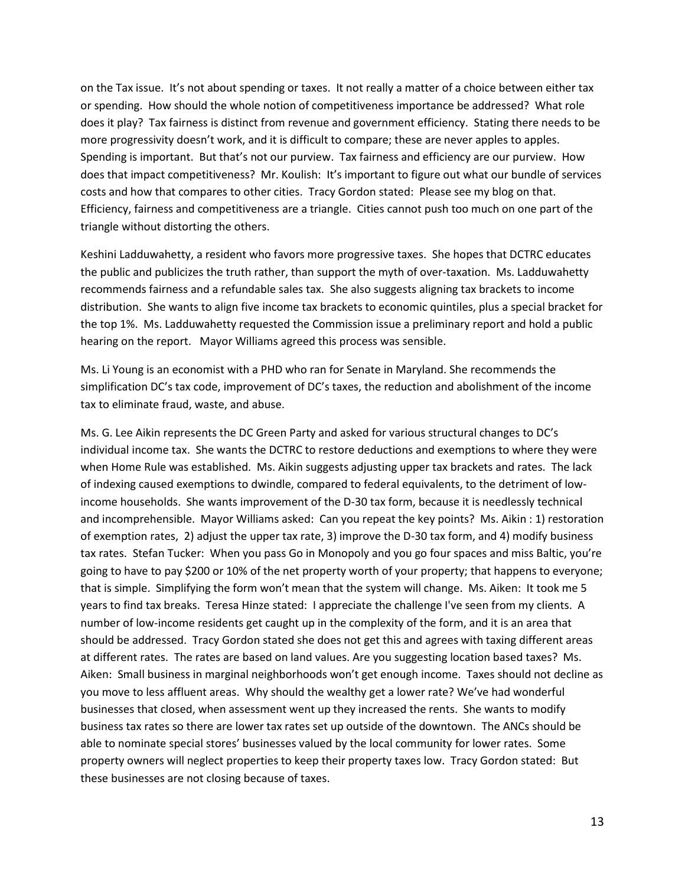on the Tax issue. It's not about spending or taxes. It not really a matter of a choice between either tax or spending. How should the whole notion of competitiveness importance be addressed? What role does it play? Tax fairness is distinct from revenue and government efficiency. Stating there needs to be more progressivity doesn't work, and it is difficult to compare; these are never apples to apples. Spending is important. But that's not our purview. Tax fairness and efficiency are our purview. How does that impact competitiveness? Mr. Koulish: It's important to figure out what our bundle of services costs and how that compares to other cities. Tracy Gordon stated: Please see my blog on that. Efficiency, fairness and competitiveness are a triangle. Cities cannot push too much on one part of the triangle without distorting the others.

Keshini Ladduwahetty, a resident who favors more progressive taxes. She hopes that DCTRC educates the public and publicizes the truth rather, than support the myth of over-taxation. Ms. Ladduwahetty recommends fairness and a refundable sales tax. She also suggests aligning tax brackets to income distribution. She wants to align five income tax brackets to economic quintiles, plus a special bracket for the top 1%. Ms. Ladduwahetty requested the Commission issue a preliminary report and hold a public hearing on the report. Mayor Williams agreed this process was sensible.

Ms. Li Young is an economist with a PHD who ran for Senate in Maryland. She recommends the simplification DC's tax code, improvement of DC's taxes, the reduction and abolishment of the income tax to eliminate fraud, waste, and abuse.

Ms. G. Lee Aikin represents the DC Green Party and asked for various structural changes to DC's individual income tax. She wants the DCTRC to restore deductions and exemptions to where they were when Home Rule was established. Ms. Aikin suggests adjusting upper tax brackets and rates. The lack of indexing caused exemptions to dwindle, compared to federal equivalents, to the detriment of lowincome households. She wants improvement of the D-30 tax form, because it is needlessly technical and incomprehensible. Mayor Williams asked: Can you repeat the key points? Ms. Aikin : 1) restoration of exemption rates, 2) adjust the upper tax rate, 3) improve the D-30 tax form, and 4) modify business tax rates. Stefan Tucker: When you pass Go in Monopoly and you go four spaces and miss Baltic, you're going to have to pay \$200 or 10% of the net property worth of your property; that happens to everyone; that is simple. Simplifying the form won't mean that the system will change. Ms. Aiken: It took me 5 years to find tax breaks. Teresa Hinze stated: I appreciate the challenge I've seen from my clients. A number of low-income residents get caught up in the complexity of the form, and it is an area that should be addressed. Tracy Gordon stated she does not get this and agrees with taxing different areas at different rates. The rates are based on land values. Are you suggesting location based taxes? Ms. Aiken: Small business in marginal neighborhoods won't get enough income. Taxes should not decline as you move to less affluent areas. Why should the wealthy get a lower rate? We've had wonderful businesses that closed, when assessment went up they increased the rents. She wants to modify business tax rates so there are lower tax rates set up outside of the downtown. The ANCs should be able to nominate special stores' businesses valued by the local community for lower rates. Some property owners will neglect properties to keep their property taxes low. Tracy Gordon stated: But these businesses are not closing because of taxes.